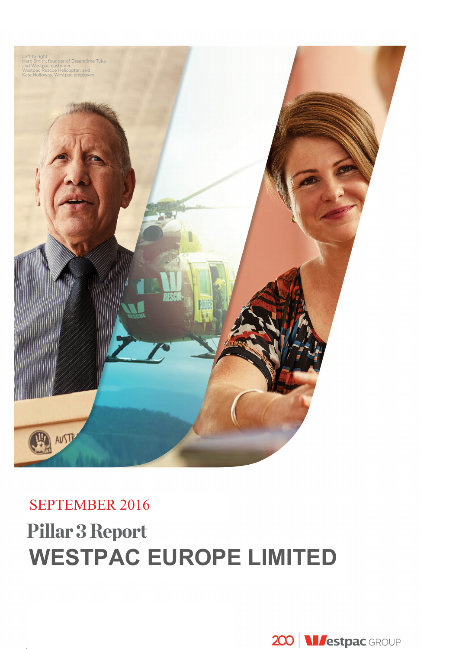

# SEPTEMBER 2016 **Pillar 3 Report WESTPAC EUROPE LIMITED**

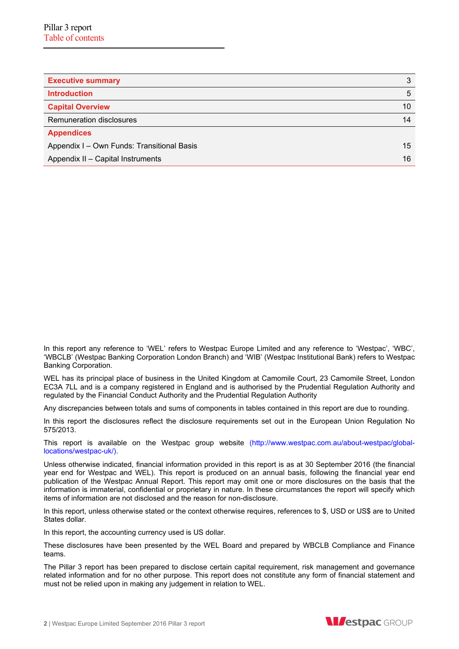| <b>Executive summary</b>                   | 3  |
|--------------------------------------------|----|
| <b>Introduction</b>                        | 5  |
| <b>Capital Overview</b>                    | 10 |
| Remuneration disclosures                   | 14 |
| <b>Appendices</b>                          |    |
| Appendix I - Own Funds: Transitional Basis | 15 |
| Appendix II - Capital Instruments          | 16 |

In this report any reference to 'WEL' refers to Westpac Europe Limited and any reference to 'Westpac', 'WBC', 'WBCLB' (Westpac Banking Corporation London Branch) and 'WIB' (Westpac Institutional Bank) refers to Westpac Banking Corporation.

WEL has its principal place of business in the United Kingdom at Camomile Court, 23 Camomile Street, London EC3A 7LL and is a company registered in England and is authorised by the Prudential Regulation Authority and regulated by the Financial Conduct Authority and the Prudential Regulation Authority

Any discrepancies between totals and sums of components in tables contained in this report are due to rounding.

In this report the disclosures reflect the disclosure requirements set out in the European Union Regulation No 575/2013.

This report is available on the Westpac group website (http://www.westpac.com.au/about-westpac/globallocations/westpac-uk/).

Unless otherwise indicated, financial information provided in this report is as at 30 September 2016 (the financial year end for Westpac and WEL). This report is produced on an annual basis, following the financial year end publication of the Westpac Annual Report. This report may omit one or more disclosures on the basis that the information is immaterial, confidential or proprietary in nature. In these circumstances the report will specify which items of information are not disclosed and the reason for non-disclosure.

In this report, unless otherwise stated or the context otherwise requires, references to \$, USD or US\$ are to United States dollar.

In this report, the accounting currency used is US dollar.

These disclosures have been presented by the WEL Board and prepared by WBCLB Compliance and Finance teams.

The Pillar 3 report has been prepared to disclose certain capital requirement, risk management and governance related information and for no other purpose. This report does not constitute any form of financial statement and must not be relied upon in making any judgement in relation to WEL.

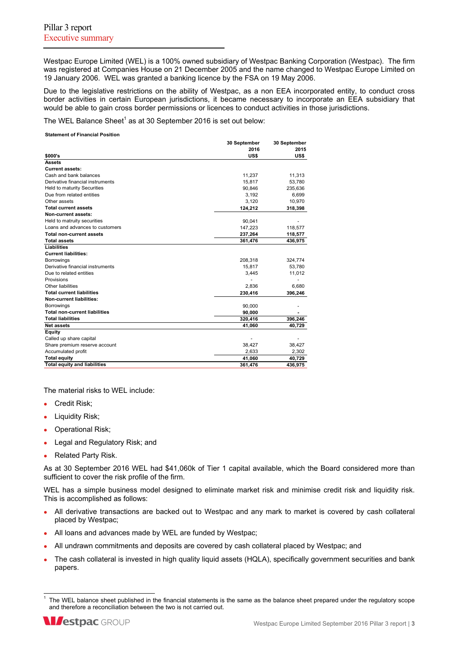Westpac Europe Limited (WEL) is a 100% owned subsidiary of Westpac Banking Corporation (Westpac). The firm was registered at Companies House on 21 December 2005 and the name changed to Westpac Europe Limited on 19 January 2006. WEL was granted a banking licence by the FSA on 19 May 2006.

Due to the legislative restrictions on the ability of Westpac, as a non EEA incorporated entity, to conduct cross border activities in certain European jurisdictions, it became necessary to incorporate an EEA subsidiary that would be able to gain cross border permissions or licences to conduct activities in those jurisdictions.

The WEL Balance Sheet<sup>1</sup> as at 30 September 2016 is set out below:

**Statement of Financial Position**

|                                      | 30 September | 30 September |
|--------------------------------------|--------------|--------------|
|                                      | 2016         | 2015         |
| \$000's                              | US\$         | US\$         |
| <b>Assets</b>                        |              |              |
| <b>Current assets:</b>               |              |              |
| Cash and bank balances               | 11,237       | 11,313       |
| Derivative financial instruments     | 15,817       | 53,780       |
| Held to maturity Securities          | 90,846       | 235,636      |
| Due from related entities            | 3,192        | 6,699        |
| Other assets                         | 3,120        | 10,970       |
| <b>Total current assets</b>          | 124,212      | 318,398      |
| Non-current assets:                  |              |              |
| Held to matruity securities          | 90,041       |              |
| Loans and advances to customers      | 147,223      | 118,577      |
| <b>Total non-current assets</b>      | 237,264      | 118,577      |
| <b>Total assets</b>                  | 361,476      | 436,975      |
| Liabilities                          |              |              |
| <b>Current liabilities:</b>          |              |              |
| Borrowings                           | 208,318      | 324,774      |
| Derivative financial instruments     | 15,817       | 53,780       |
| Due to related entities              | 3,445        | 11,012       |
| Provisions                           |              |              |
| Other liabilities                    | 2.836        | 6,680        |
| <b>Total current liabilities</b>     | 230,416      | 396,246      |
| <b>Non-current liabilities:</b>      |              |              |
| <b>Borrowings</b>                    | 90,000       |              |
| <b>Total non-current liabilities</b> | 90,000       |              |
| <b>Total liabilities</b>             | 320,416      | 396,246      |
| Net assets                           | 41,060       | 40,729       |
| Equity                               |              |              |
| Called up share capital              |              |              |
| Share premium reserve account        | 38,427       | 38,427       |
| Accumulated profit                   | 2.633        | 2,302        |
| <b>Total equity</b>                  | 41,060       | 40,729       |
| <b>Total equity and liabilities</b>  | 361,476      | 436,975      |

The material risks to WEL include:

- **Credit Risk:**
- Liquidity Risk;
- Operational Risk;
- Legal and Regulatory Risk; and
- Related Party Risk.

As at 30 September 2016 WEL had \$41,060k of Tier 1 capital available, which the Board considered more than sufficient to cover the risk profile of the firm.

WEL has a simple business model designed to eliminate market risk and minimise credit risk and liquidity risk. This is accomplished as follows:

- All derivative transactions are backed out to Westpac and any mark to market is covered by cash collateral placed by Westpac;
- All loans and advances made by WEL are funded by Westpac;
- All undrawn commitments and deposits are covered by cash collateral placed by Westpac; and
- The cash collateral is invested in high quality liquid assets (HQLA), specifically government securities and bank papers.

l 1 The WEL balance sheet published in the financial statements is the same as the balance sheet prepared under the regulatory scope and therefore a reconciliation between the two is not carried out.

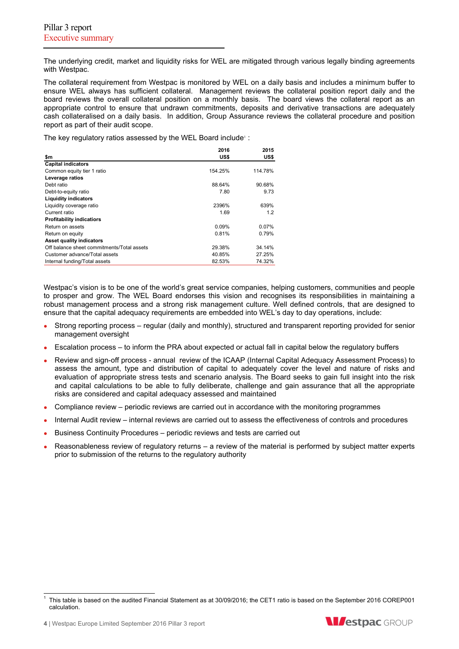The underlying credit, market and liquidity risks for WEL are mitigated through various legally binding agreements with Westpac.

The collateral requirement from Westpac is monitored by WEL on a daily basis and includes a minimum buffer to ensure WEL always has sufficient collateral. Management reviews the collateral position report daily and the board reviews the overall collateral position on a monthly basis. The board views the collateral report as an appropriate control to ensure that undrawn commitments, deposits and derivative transactions are adequately cash collateralised on a daily basis. In addition, Group Assurance reviews the collateral procedure and position report as part of their audit scope.

The key regulatory ratios assessed by the WEL Board include<sup>1</sup>:

|                                            | 2016    | 2015     |
|--------------------------------------------|---------|----------|
| \$m                                        | US\$    | US\$     |
| <b>Capital indicators</b>                  |         |          |
| Common equity tier 1 ratio                 | 154.25% | 114.78%  |
| Leverage ratios                            |         |          |
| Debt ratio                                 | 88.64%  | 90.68%   |
| Debt-to-equity ratio                       | 7.80    | 9.73     |
| <b>Liquidity indicators</b>                |         |          |
| Liquidity coverage ratio                   | 2396%   | 639%     |
| Current ratio                              | 1.69    | 1.2      |
| <b>Profitability indicatiors</b>           |         |          |
| Return on assets                           | 0.09%   | $0.07\%$ |
| Return on equity                           | 0.81%   | 0.79%    |
| <b>Asset quality indicators</b>            |         |          |
| Off balance sheet commitments/Total assets | 29.38%  | 34.14%   |
| Customer advance/Total assets              | 40.85%  | 27.25%   |
| Internal funding/Total assets              | 82.53%  | 74.32%   |

Westpac's vision is to be one of the world's great service companies, helping customers, communities and people to prosper and grow. The WEL Board endorses this vision and recognises its responsibilities in maintaining a robust management process and a strong risk management culture. Well defined controls, that are designed to ensure that the capital adequacy requirements are embedded into WEL's day to day operations, include:

- Strong reporting process regular (daily and monthly), structured and transparent reporting provided for senior management oversight
- Escalation process to inform the PRA about expected or actual fall in capital below the regulatory buffers
- Review and sign-off process annual review of the ICAAP (Internal Capital Adequacy Assessment Process) to assess the amount, type and distribution of capital to adequately cover the level and nature of risks and evaluation of appropriate stress tests and scenario analysis. The Board seeks to gain full insight into the risk and capital calculations to be able to fully deliberate, challenge and gain assurance that all the appropriate risks are considered and capital adequacy assessed and maintained
- Compliance review periodic reviews are carried out in accordance with the monitoring programmes
- Internal Audit review internal reviews are carried out to assess the effectiveness of controls and procedures
- Business Continuity Procedures periodic reviews and tests are carried out
- Reasonableness review of regulatory returns a review of the material is performed by subject matter experts prior to submission of the returns to the regulatory authority



l 1 This table is based on the audited Financial Statement as at 30/09/2016; the CET1 ratio is based on the September 2016 COREP001 calculation.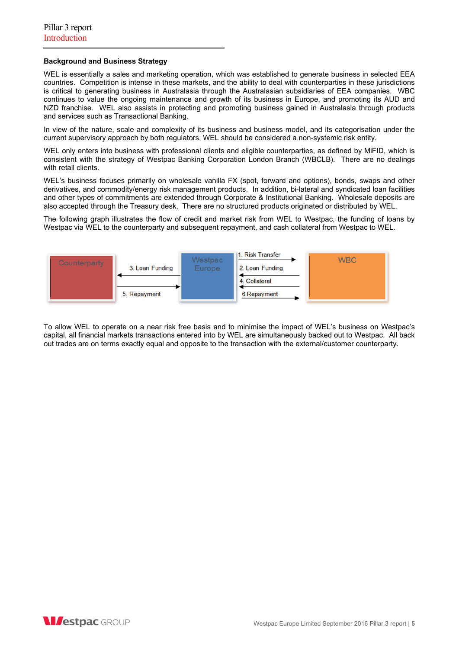# **Background and Business Strategy**

WEL is essentially a sales and marketing operation, which was established to generate business in selected EEA countries. Competition is intense in these markets, and the ability to deal with counterparties in these jurisdictions is critical to generating business in Australasia through the Australasian subsidiaries of EEA companies. WBC continues to value the ongoing maintenance and growth of its business in Europe, and promoting its AUD and NZD franchise. WEL also assists in protecting and promoting business gained in Australasia through products and services such as Transactional Banking.

In view of the nature, scale and complexity of its business and business model, and its categorisation under the current supervisory approach by both regulators, WEL should be considered a non-systemic risk entity.

WEL only enters into business with professional clients and eligible counterparties, as defined by MiFID, which is consistent with the strategy of Westpac Banking Corporation London Branch (WBCLB). There are no dealings with retail clients.

WEL's business focuses primarily on wholesale vanilla FX (spot, forward and options), bonds, swaps and other derivatives, and commodity/energy risk management products. In addition, bi-lateral and syndicated loan facilities and other types of commitments are extended through Corporate & Institutional Banking. Wholesale deposits are also accepted through the Treasury desk. There are no structured products originated or distributed by WEL.

The following graph illustrates the flow of credit and market risk from WEL to Westpac, the funding of loans by Westpac via WEL to the counterparty and subsequent repayment, and cash collateral from Westpac to WEL.



To allow WEL to operate on a near risk free basis and to minimise the impact of WEL's business on Westpac's capital, all financial markets transactions entered into by WEL are simultaneously backed out to Westpac. All back out trades are on terms exactly equal and opposite to the transaction with the external/customer counterparty.

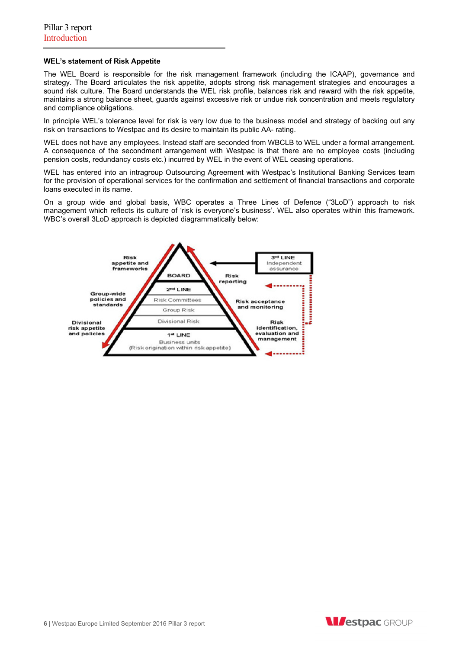#### **WEL's statement of Risk Appetite**

The WEL Board is responsible for the risk management framework (including the ICAAP), governance and strategy. The Board articulates the risk appetite, adopts strong risk management strategies and encourages a sound risk culture. The Board understands the WEL risk profile, balances risk and reward with the risk appetite, maintains a strong balance sheet, guards against excessive risk or undue risk concentration and meets regulatory and compliance obligations.

In principle WEL's tolerance level for risk is very low due to the business model and strategy of backing out any risk on transactions to Westpac and its desire to maintain its public AA- rating.

WEL does not have any employees. Instead staff are seconded from WBCLB to WEL under a formal arrangement. A consequence of the secondment arrangement with Westpac is that there are no employee costs (including pension costs, redundancy costs etc.) incurred by WEL in the event of WEL ceasing operations.

WEL has entered into an intragroup Outsourcing Agreement with Westpac's Institutional Banking Services team for the provision of operational services for the confirmation and settlement of financial transactions and corporate loans executed in its name.

On a group wide and global basis, WBC operates a Three Lines of Defence ("3LoD") approach to risk management which reflects its culture of 'risk is everyone's business'. WEL also operates within this framework. WBC's overall 3LoD approach is depicted diagrammatically below:



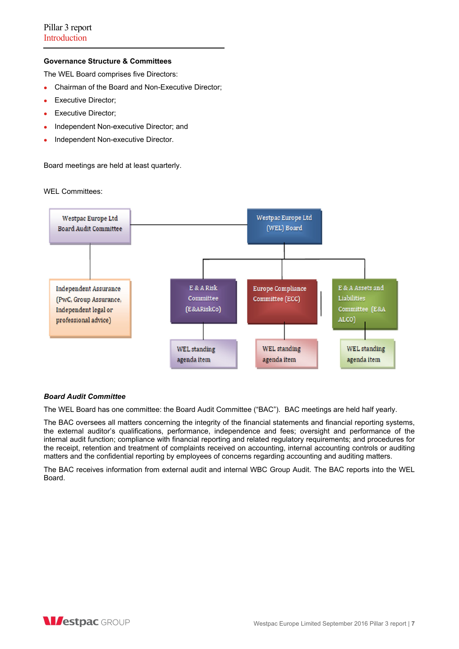# **Governance Structure & Committees**

The WEL Board comprises five Directors:

- Chairman of the Board and Non-Executive Director;
- **Executive Director:**
- Executive Director;
- Independent Non-executive Director; and
- Independent Non-executive Director.

Board meetings are held at least quarterly.

WEL Committees:



# *Board Audit Committee*

The WEL Board has one committee: the Board Audit Committee ("BAC"). BAC meetings are held half yearly.

The BAC oversees all matters concerning the integrity of the financial statements and financial reporting systems, the external auditor's qualifications, performance, independence and fees; oversight and performance of the internal audit function; compliance with financial reporting and related regulatory requirements; and procedures for the receipt, retention and treatment of complaints received on accounting, internal accounting controls or auditing matters and the confidential reporting by employees of concerns regarding accounting and auditing matters.

The BAC receives information from external audit and internal WBC Group Audit. The BAC reports into the WEL Board.

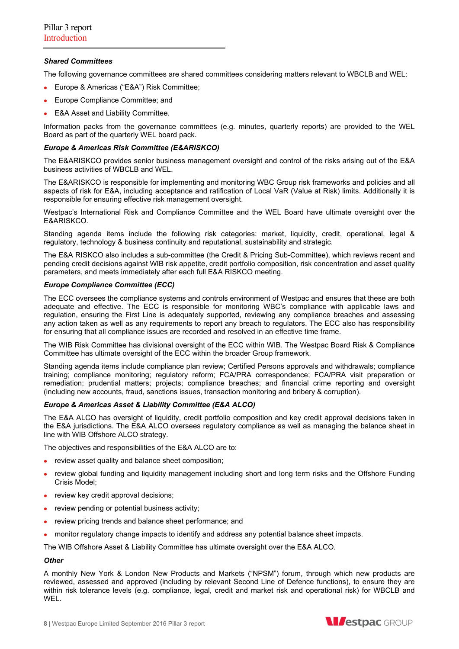# *Shared Committees*

The following governance committees are shared committees considering matters relevant to WBCLB and WEL:

- Europe & Americas ("E&A") Risk Committee;
- **Europe Compliance Committee; and**
- E&A Asset and Liability Committee.

Information packs from the governance committees (e.g. minutes, quarterly reports) are provided to the WEL Board as part of the quarterly WEL board pack.

### *Europe & Americas Risk Committee (E&ARISKCO)*

The E&ARISKCO provides senior business management oversight and control of the risks arising out of the E&A business activities of WBCLB and WEL.

The E&ARISKCO is responsible for implementing and monitoring WBC Group risk frameworks and policies and all aspects of risk for E&A, including acceptance and ratification of Local VaR (Value at Risk) limits. Additionally it is responsible for ensuring effective risk management oversight.

Westpac's International Risk and Compliance Committee and the WEL Board have ultimate oversight over the E&ARISKCO.

Standing agenda items include the following risk categories: market, liquidity, credit, operational, legal & regulatory, technology & business continuity and reputational, sustainability and strategic.

The E&A RISKCO also includes a sub-committee (the Credit & Pricing Sub-Committee), which reviews recent and pending credit decisions against WIB risk appetite, credit portfolio composition, risk concentration and asset quality parameters, and meets immediately after each full E&A RISKCO meeting.

#### *Europe Compliance Committee (ECC)*

The ECC oversees the compliance systems and controls environment of Westpac and ensures that these are both adequate and effective. The ECC is responsible for monitoring WBC's compliance with applicable laws and regulation, ensuring the First Line is adequately supported, reviewing any compliance breaches and assessing any action taken as well as any requirements to report any breach to regulators. The ECC also has responsibility for ensuring that all compliance issues are recorded and resolved in an effective time frame.

The WIB Risk Committee has divisional oversight of the ECC within WIB. The Westpac Board Risk & Compliance Committee has ultimate oversight of the ECC within the broader Group framework.

Standing agenda items include compliance plan review; Certified Persons approvals and withdrawals; compliance training; compliance monitoring; regulatory reform; FCA/PRA correspondence; FCA/PRA visit preparation or remediation; prudential matters; projects; compliance breaches; and financial crime reporting and oversight (including new accounts, fraud, sanctions issues, transaction monitoring and bribery & corruption).

# *Europe & Americas Asset & Liability Committee (E&A ALCO)*

The E&A ALCO has oversight of liquidity, credit portfolio composition and key credit approval decisions taken in the E&A jurisdictions. The E&A ALCO oversees regulatory compliance as well as managing the balance sheet in line with WIB Offshore ALCO strategy.

The objectives and responsibilities of the E&A ALCO are to:

- review asset quality and balance sheet composition;
- review global funding and liquidity management including short and long term risks and the Offshore Funding Crisis Model;
- review key credit approval decisions;
- review pending or potential business activity;
- review pricing trends and balance sheet performance; and
- monitor regulatory change impacts to identify and address any potential balance sheet impacts.

The WIB Offshore Asset & Liability Committee has ultimate oversight over the E&A ALCO.

# *Other*

A monthly New York & London New Products and Markets ("NPSM") forum, through which new products are reviewed, assessed and approved (including by relevant Second Line of Defence functions), to ensure they are within risk tolerance levels (e.g. compliance, legal, credit and market risk and operational risk) for WBCLB and WEL.



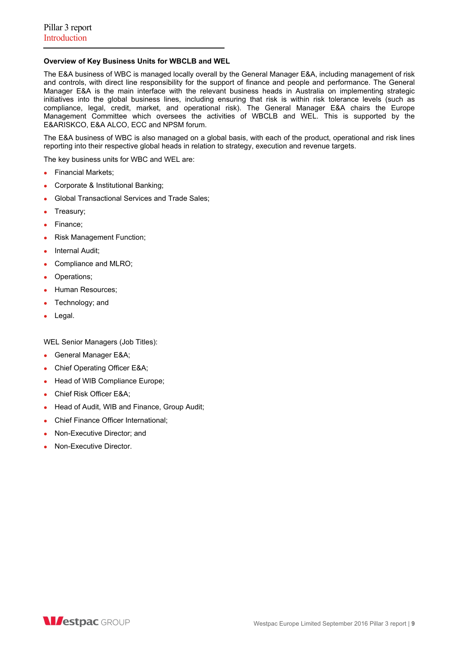# **Overview of Key Business Units for WBCLB and WEL**

The E&A business of WBC is managed locally overall by the General Manager E&A, including management of risk and controls, with direct line responsibility for the support of finance and people and performance. The General Manager E&A is the main interface with the relevant business heads in Australia on implementing strategic initiatives into the global business lines, including ensuring that risk is within risk tolerance levels (such as compliance, legal, credit, market, and operational risk). The General Manager E&A chairs the Europe Management Committee which oversees the activities of WBCLB and WEL. This is supported by the E&ARISKCO, E&A ALCO, ECC and NPSM forum.

The E&A business of WBC is also managed on a global basis, with each of the product, operational and risk lines reporting into their respective global heads in relation to strategy, execution and revenue targets.

The key business units for WBC and WEL are:

- Financial Markets;
- Corporate & Institutional Banking;
- Global Transactional Services and Trade Sales;
- Treasury;
- Finance;
- Risk Management Function;
- Internal Audit;
- Compliance and MLRO;
- Operations;
- Human Resources;
- Technology; and
- Legal.

WEL Senior Managers (Job Titles):

- General Manager E&A;
- Chief Operating Officer E&A;
- Head of WIB Compliance Europe;
- Chief Risk Officer E&A;
- Head of Audit, WIB and Finance, Group Audit;
- Chief Finance Officer International:
- Non-Executive Director; and
- Non-Executive Director.

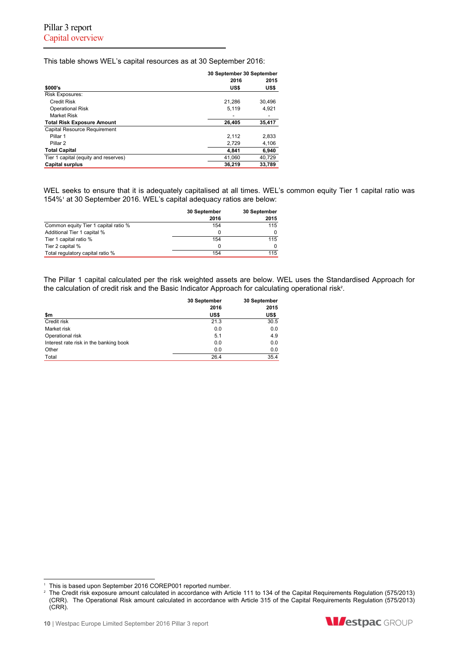This table shows WEL's capital resources as at 30 September 2016:

|                                      | 30 September 30 September |        |  |
|--------------------------------------|---------------------------|--------|--|
|                                      | 2016                      | 2015   |  |
| \$000's                              | US\$                      | US\$   |  |
| <b>Risk Exposures:</b>               |                           |        |  |
| <b>Credit Risk</b>                   | 21.286                    | 30.496 |  |
| <b>Operational Risk</b>              | 5.119                     | 4,921  |  |
| Market Risk                          |                           |        |  |
| <b>Total Risk Exposure Amount</b>    | 26,405                    | 35,417 |  |
| Capital Resource Requirement         |                           |        |  |
| Pillar 1                             | 2.112                     | 2,833  |  |
| Pillar <sub>2</sub>                  | 2,729                     | 4,106  |  |
| <b>Total Capital</b>                 | 4,841                     | 6,940  |  |
| Tier 1 capital (equity and reserves) | 41.060                    | 40.729 |  |
| <b>Capital surplus</b>               | 36.219                    | 33.789 |  |

WEL seeks to ensure that it is adequately capitalised at all times. WEL's common equity Tier 1 capital ratio was 154%<sup>1</sup> at 30 September 2016. WEL's capital adequacy ratios are below:

|                                      | 30 September | 30 September |
|--------------------------------------|--------------|--------------|
|                                      | 2016         | 2015         |
| Common equity Tier 1 capital ratio % | 154          | 115          |
| Additional Tier 1 capital %          |              |              |
| Tier 1 capital ratio %               | 154          | 115          |
| Tier 2 capital %                     |              |              |
| Total regulatory capital ratio %     | 154          | 115          |

The Pillar 1 capital calculated per the risk weighted assets are below. WEL uses the Standardised Approach for the calculation of credit risk and the Basic Indicator Approach for calculating operational risk<sup>2</sup>.

|                                        | 30 September<br>2016 | 30 September<br>2015 |
|----------------------------------------|----------------------|----------------------|
| \$m                                    | US\$                 | US\$                 |
| Credit risk                            | 21.3                 | 30.5                 |
| Market risk                            | 0.0                  | 0.0                  |
| Operational risk                       | 5.1                  | 4.9                  |
| Interest rate risk in the banking book | 0.0                  | 0.0                  |
| Other                                  | 0.0                  | 0.0                  |
| Total                                  | 26.4                 | 35.4                 |

 $\overline{a}$ 



This is based upon September 2016 COREP001 reported number.

<sup>2</sup> The Credit risk exposure amount calculated in accordance with Article 111 to 134 of the Capital Requirements Regulation (575/2013) (CRR). The Operational Risk amount calculated in accordance with Article 315 of the Capital Requirements Regulation (575/2013) (CRR).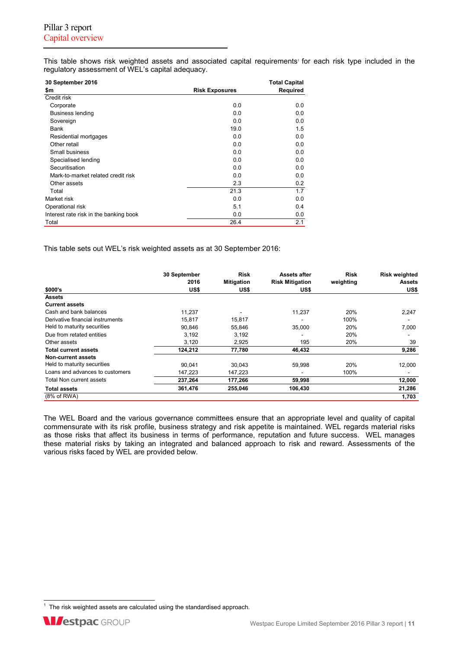This table shows risk weighted assets and associated capital requirements<sup>1</sup> for each risk type included in the regulatory assessment of WEL's capital adequacy.

| 30 September 2016                      |                       | <b>Total Capital</b> |
|----------------------------------------|-----------------------|----------------------|
| \$m                                    | <b>Risk Exposures</b> | Required             |
| Credit risk                            |                       |                      |
| Corporate                              | 0.0                   | 0.0                  |
| <b>Business lending</b>                | 0.0                   | 0.0                  |
| Sovereign                              | 0.0                   | 0.0                  |
| Bank                                   | 19.0                  | 1.5                  |
| Residential mortgages                  | 0.0                   | 0.0                  |
| Other retail                           | 0.0                   | 0.0                  |
| Small business                         | 0.0                   | 0.0                  |
| Specialised lending                    | 0.0                   | 0.0                  |
| Securitisation                         | 0.0                   | 0.0                  |
| Mark-to-market related credit risk     | 0.0                   | 0.0                  |
| Other assets                           | 2.3                   | 0.2                  |
| Total                                  | 21.3                  | 1.7                  |
| Market risk                            | 0.0                   | 0.0                  |
| Operational risk                       | 5.1                   | 0.4                  |
| Interest rate risk in the banking book | 0.0                   | 0.0                  |
| Total                                  | 26.4                  | 2.1                  |

This table sets out WEL's risk weighted assets as at 30 September 2016:

|                                  | 30 September | <b>Risk</b>       | <b>Assets after</b>    | <b>Risk</b> | <b>Risk weighted</b> |
|----------------------------------|--------------|-------------------|------------------------|-------------|----------------------|
|                                  | 2016         | <b>Mitigation</b> | <b>Risk Mitigation</b> | weighting   | <b>Assets</b>        |
| \$000's                          | US\$         | US\$              | US\$                   |             | US\$                 |
| <b>Assets</b>                    |              |                   |                        |             |                      |
| <b>Current assets</b>            |              |                   |                        |             |                      |
| Cash and bank balances           | 11.237       |                   | 11,237                 | 20%         | 2,247                |
| Derivative financial instruments | 15.817       | 15,817            |                        | 100%        |                      |
| Held to maturity securities      | 90,846       | 55,846            | 35,000                 | 20%         | 7,000                |
| Due from retated entities        | 3,192        | 3,192             |                        | 20%         |                      |
| Other assets                     | 3,120        | 2,925             | 195                    | 20%         | 39                   |
| <b>Total current assets</b>      | 124,212      | 77,780            | 46,432                 |             | 9,286                |
| Non-current assets               |              |                   |                        |             |                      |
| Held to maturity securities      | 90.041       | 30.043            | 59,998                 | 20%         | 12,000               |
| Loans and advances to customers  | 147,223      | 147,223           |                        | 100%        |                      |
| Total Non current assets         | 237,264      | 177,266           | 59,998                 |             | 12,000               |
| <b>Total assets</b>              | 361,476      | 255,046           | 106,430                |             | 21,286               |
| (8% of RWA)                      |              |                   |                        |             | 1,703                |

The WEL Board and the various governance committees ensure that an appropriate level and quality of capital commensurate with its risk profile, business strategy and risk appetite is maintained. WEL regards material risks as those risks that affect its business in terms of performance, reputation and future success. WEL manages these material risks by taking an integrated and balanced approach to risk and reward. Assessments of the various risks faced by WEL are provided below.

<sup>1&</sup>lt;br><sup>1</sup> The risk weighted assets are calculated using the standardised approach.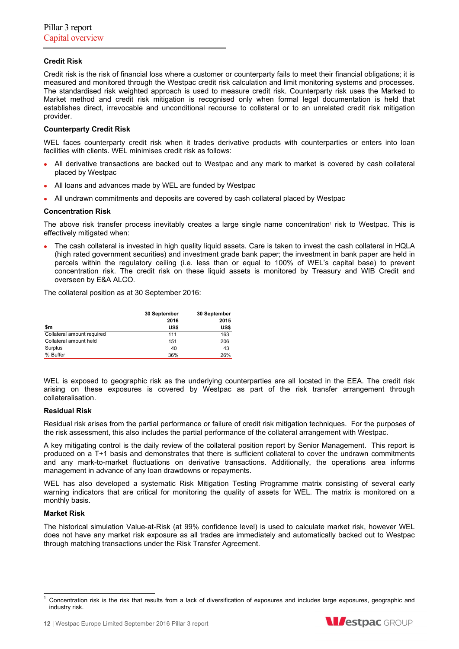# **Credit Risk**

Credit risk is the risk of financial loss where a customer or counterparty fails to meet their financial obligations; it is measured and monitored through the Westpac credit risk calculation and limit monitoring systems and processes. The standardised risk weighted approach is used to measure credit risk. Counterparty risk uses the Marked to Market method and credit risk mitigation is recognised only when formal legal documentation is held that establishes direct, irrevocable and unconditional recourse to collateral or to an unrelated credit risk mitigation provider.

# **Counterparty Credit Risk**

WEL faces counterparty credit risk when it trades derivative products with counterparties or enters into loan facilities with clients. WEL minimises credit risk as follows:

- All derivative transactions are backed out to Westpac and any mark to market is covered by cash collateral placed by Westpac
- All loans and advances made by WEL are funded by Westpac
- All undrawn commitments and deposits are covered by cash collateral placed by Westpac

# **Concentration Risk**

The above risk transfer process inevitably creates a large single name concentration' risk to Westpac. This is effectively mitigated when:

 The cash collateral is invested in high quality liquid assets. Care is taken to invest the cash collateral in HQLA (high rated government securities) and investment grade bank paper; the investment in bank paper are held in parcels within the regulatory ceiling (i.e. less than or equal to 100% of WEL's capital base) to prevent concentration risk. The credit risk on these liquid assets is monitored by Treasury and WIB Credit and overseen by E&A ALCO.

The collateral position as at 30 September 2016:

|                            | 30 September | 30 September |
|----------------------------|--------------|--------------|
|                            | 2016         | 2015         |
| \$m                        | US\$         | US\$         |
| Collateral amount required | 111          | 163          |
| Collateral amount held     | 151          | 206          |
| Surplus                    | 40           | 43           |
| % Buffer                   | 36%          | 26%          |

WEL is exposed to geographic risk as the underlying counterparties are all located in the EEA. The credit risk arising on these exposures is covered by Westpac as part of the risk transfer arrangement through collateralisation.

# **Residual Risk**

Residual risk arises from the partial performance or failure of credit risk mitigation techniques. For the purposes of the risk assessment, this also includes the partial performance of the collateral arrangement with Westpac.

A key mitigating control is the daily review of the collateral position report by Senior Management. This report is produced on a T+1 basis and demonstrates that there is sufficient collateral to cover the undrawn commitments and any mark-to-market fluctuations on derivative transactions. Additionally, the operations area informs management in advance of any loan drawdowns or repayments.

WEL has also developed a systematic Risk Mitigation Testing Programme matrix consisting of several early warning indicators that are critical for monitoring the quality of assets for WEL. The matrix is monitored on a monthly basis.

#### **Market Risk**

The historical simulation Value-at-Risk (at 99% confidence level) is used to calculate market risk, however WEL does not have any market risk exposure as all trades are immediately and automatically backed out to Westpac through matching transactions under the Risk Transfer Agreement.



l 1 Concentration risk is the risk that results from a lack of diversification of exposures and includes large exposures, geographic and industry risk.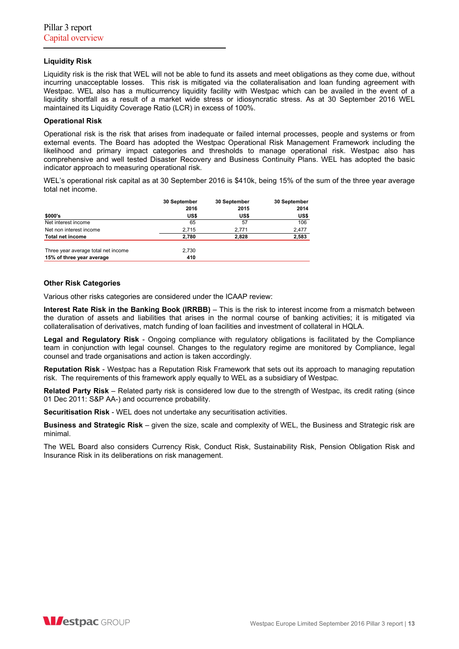# **Liquidity Risk**

Liquidity risk is the risk that WEL will not be able to fund its assets and meet obligations as they come due, without incurring unacceptable losses. This risk is mitigated via the collateralisation and loan funding agreement with Westpac. WEL also has a multicurrency liquidity facility with Westpac which can be availed in the event of a liquidity shortfall as a result of a market wide stress or idiosyncratic stress. As at 30 September 2016 WEL maintained its Liquidity Coverage Ratio (LCR) in excess of 100%.

### **Operational Risk**

Operational risk is the risk that arises from inadequate or failed internal processes, people and systems or from external events. The Board has adopted the Westpac Operational Risk Management Framework including the likelihood and primary impact categories and thresholds to manage operational risk. Westpac also has comprehensive and well tested Disaster Recovery and Business Continuity Plans. WEL has adopted the basic indicator approach to measuring operational risk.

WEL's operational risk capital as at 30 September 2016 is \$410k, being 15% of the sum of the three year average total net income.

|                                     | 30 September | 30 September | 30 September |
|-------------------------------------|--------------|--------------|--------------|
|                                     | 2016         | 2015         | 2014         |
| \$000's                             | US\$         | US\$         | US\$         |
| Net interest income                 | 65           | 57           | 106          |
| Net non interest income             | 2.715        | 2,771        | 2,477        |
| <b>Total net income</b>             | 2,780        | 2,828        | 2,583        |
| Three year average total net income | 2.730        |              |              |
| 15% of three year average           | 410          |              |              |

#### **Other Risk Categories**

Various other risks categories are considered under the ICAAP review:

**Interest Rate Risk in the Banking Book (IRRBB)** – This is the risk to interest income from a mismatch between the duration of assets and liabilities that arises in the normal course of banking activities; it is mitigated via collateralisation of derivatives, match funding of loan facilities and investment of collateral in HQLA.

**Legal and Regulatory Risk** - Ongoing compliance with regulatory obligations is facilitated by the Compliance team in conjunction with legal counsel. Changes to the regulatory regime are monitored by Compliance, legal counsel and trade organisations and action is taken accordingly.

**Reputation Risk** - Westpac has a Reputation Risk Framework that sets out its approach to managing reputation risk. The requirements of this framework apply equally to WEL as a subsidiary of Westpac.

**Related Party Risk** – Related party risk is considered low due to the strength of Westpac, its credit rating (since 01 Dec 2011: S&P AA-) and occurrence probability.

**Securitisation Risk** - WEL does not undertake any securitisation activities.

**Business and Strategic Risk** – given the size, scale and complexity of WEL, the Business and Strategic risk are minimal.

The WEL Board also considers Currency Risk, Conduct Risk, Sustainability Risk, Pension Obligation Risk and Insurance Risk in its deliberations on risk management.

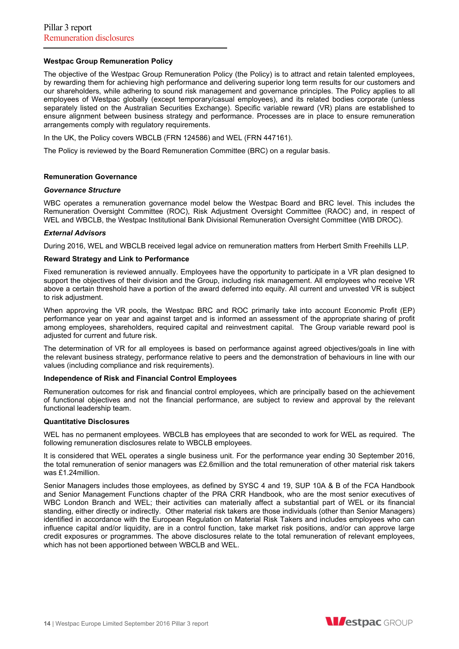### **Westpac Group Remuneration Policy**

The objective of the Westpac Group Remuneration Policy (the Policy) is to attract and retain talented employees, by rewarding them for achieving high performance and delivering superior long term results for our customers and our shareholders, while adhering to sound risk management and governance principles. The Policy applies to all employees of Westpac globally (except temporary/casual employees), and its related bodies corporate (unless separately listed on the Australian Securities Exchange). Specific variable reward (VR) plans are established to ensure alignment between business strategy and performance. Processes are in place to ensure remuneration arrangements comply with regulatory requirements.

In the UK, the Policy covers WBCLB (FRN 124586) and WEL (FRN 447161).

The Policy is reviewed by the Board Remuneration Committee (BRC) on a regular basis.

#### **Remuneration Governance**

#### *Governance Structure*

WBC operates a remuneration governance model below the Westpac Board and BRC level. This includes the Remuneration Oversight Committee (ROC), Risk Adjustment Oversight Committee (RAOC) and, in respect of WEL and WBCLB, the Westpac Institutional Bank Divisional Remuneration Oversight Committee (WIB DROC).

#### *External Advisors*

During 2016, WEL and WBCLB received legal advice on remuneration matters from Herbert Smith Freehills LLP.

#### **Reward Strategy and Link to Performance**

Fixed remuneration is reviewed annually. Employees have the opportunity to participate in a VR plan designed to support the objectives of their division and the Group, including risk management. All employees who receive VR above a certain threshold have a portion of the award deferred into equity. All current and unvested VR is subject to risk adjustment.

When approving the VR pools, the Westpac BRC and ROC primarily take into account Economic Profit (EP) performance year on year and against target and is informed an assessment of the appropriate sharing of profit among employees, shareholders, required capital and reinvestment capital. The Group variable reward pool is adjusted for current and future risk.

The determination of VR for all employees is based on performance against agreed objectives/goals in line with the relevant business strategy, performance relative to peers and the demonstration of behaviours in line with our values (including compliance and risk requirements).

#### **Independence of Risk and Financial Control Employees**

Remuneration outcomes for risk and financial control employees, which are principally based on the achievement of functional objectives and not the financial performance, are subject to review and approval by the relevant functional leadership team.

#### **Quantitative Disclosures**

WEL has no permanent employees. WBCLB has employees that are seconded to work for WEL as required. The following remuneration disclosures relate to WBCLB employees.

It is considered that WEL operates a single business unit. For the performance year ending 30 September 2016, the total remuneration of senior managers was £2.6million and the total remuneration of other material risk takers was £1.24million.

Senior Managers includes those employees, as defined by SYSC 4 and 19, SUP 10A & B of the FCA Handbook and Senior Management Functions chapter of the PRA CRR Handbook, who are the most senior executives of WBC London Branch and WEL; their activities can materially affect a substantial part of WEL or its financial standing, either directly or indirectly. Other material risk takers are those individuals (other than Senior Managers) identified in accordance with the European Regulation on Material Risk Takers and includes employees who can influence capital and/or liquidity, are in a control function, take market risk positions, and/or can approve large credit exposures or programmes. The above disclosures relate to the total remuneration of relevant employees, which has not been apportioned between WBCLB and WEL.

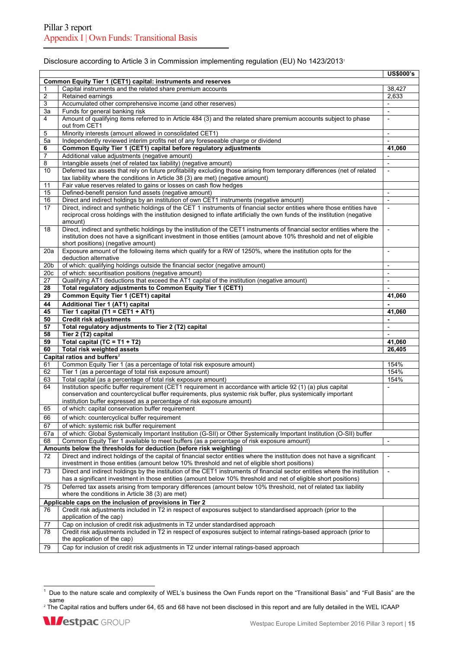### Disclosure according to Article 3 in Commission implementing regulation (EU) No 1423/2013<sup>1</sup>

|     |                                                                                                                            | <b>US\$000's</b>         |
|-----|----------------------------------------------------------------------------------------------------------------------------|--------------------------|
|     | Common Equity Tier 1 (CET1) capital: instruments and reserves                                                              |                          |
| 1   | Capital instruments and the related share premium accounts                                                                 | 38,427                   |
| 2   | Retained earnings                                                                                                          | 2,633                    |
|     | Accumulated other comprehensive income (and other reserves)                                                                |                          |
| 3   |                                                                                                                            | $\overline{\phantom{a}}$ |
| За  | Funds for general banking risk                                                                                             | $\overline{\phantom{a}}$ |
| 4   | Amount of qualifying items referred to in Article 484 (3) and the related share premium accounts subject to phase          | $\overline{a}$           |
|     | out from CET1                                                                                                              |                          |
| 5   | Minority interests (amount allowed in consolidated CET1)                                                                   | $\overline{\phantom{a}}$ |
| 5a  | Independently reviewed interim profits net of any foreseeable charge or dividend                                           | $\overline{\phantom{a}}$ |
| 6   | Common Equity Tier 1 (CET1) capital before regulatory adjustments                                                          | 41,060                   |
| 7   | Additional value adjustments (negative amount)                                                                             |                          |
|     |                                                                                                                            |                          |
| 8   | Intangible assets (net of related tax liability) (negative amount)                                                         |                          |
| 10  | Deferred tax assets that rely on future profitability excluding those arising from temporary differences (net of related   | $\overline{\phantom{a}}$ |
|     | tax liability where the conditions in Article 38 (3) are met) (negative amount)                                            |                          |
| 11  | Fair value reserves related to gains or losses on cash flow hedges                                                         |                          |
| 15  | Defined-benefit pension fund assets (negative amount)                                                                      | $\overline{\phantom{a}}$ |
| 16  | Direct and indirect holdings by an institution of own CET1 instruments (negative amount)                                   |                          |
| 17  | Direct, indirect and synthetic holdings of the CET 1 instruments of financial sector entities where those entities have    | $\overline{\phantom{a}}$ |
|     |                                                                                                                            |                          |
|     | reciprocal cross holdings with the institution designed to inflate artificially the own funds of the institution (negative |                          |
|     | amount)                                                                                                                    |                          |
| 18  | Direct, indirect and synthetic holdings by the institution of the CET1 instruments of financial sector entities where the  |                          |
|     | institution does not have a significant investment in those entities (amount above 10% threshold and net of eligible       |                          |
|     | short positions) (negative amount)                                                                                         |                          |
| 20a | Exposure amount of the following items which qualify for a RW of 1250%, where the institution opts for the                 | $\overline{a}$           |
|     | deduction alternative                                                                                                      |                          |
| 20b | of which: qualifying holdings outside the financial sector (negative amount)                                               | $\overline{\phantom{a}}$ |
|     |                                                                                                                            | $\overline{a}$           |
| 20c | of which: securitisation positions (negative amount)                                                                       |                          |
| 27  | Qualifying AT1 deductions that exceed the AT1 capital of the institution (negative amount)                                 | $\overline{a}$           |
| 28  | Total regulatory adjustments to Common Equity Tier 1 (CET1)                                                                |                          |
| 29  | Common Equity Tier 1 (CET1) capital                                                                                        | 41,060                   |
| 44  | Additional Tier 1 (AT1) capital                                                                                            |                          |
| 45  | Tier 1 capital (T1 = CET1 + AT1)                                                                                           | 41,060                   |
|     | <b>Credit risk adjustments</b>                                                                                             | $\sim$                   |
| 50  |                                                                                                                            |                          |
| 57  | Total regulatory adjustments to Tier 2 (T2) capital                                                                        | $\frac{1}{2}$            |
| 58  | Tier 2 (T2) capital                                                                                                        |                          |
| 59  | Total capital (TC = $T1 + T2$ )                                                                                            | 41,060                   |
|     |                                                                                                                            |                          |
| 60  |                                                                                                                            | 26,405                   |
|     | Total risk weighted assets                                                                                                 |                          |
|     | Capital ratios and buffers <sup>2</sup>                                                                                    |                          |
| 61  | Common Equity Tier 1 (as a percentage of total risk exposure amount)                                                       | 154%                     |
| 62  | Tier 1 (as a percentage of total risk exposure amount)                                                                     | 154%                     |
| 63  | Total capital (as a percentage of total risk exposure amount)                                                              | 154%                     |
| 64  | Institution specific buffer requirement (CET1 requirement in accordance with article 92 (1) (a) plus capital               |                          |
|     | conservation and countercyclical buffer requirements, plus systemic risk buffer, plus systemically important               |                          |
|     | institution buffer expressed as a percentage of risk exposure amount)                                                      |                          |
| 65  | of which: capital conservation buffer requirement                                                                          |                          |
|     |                                                                                                                            |                          |
| 66  | of which: countercyclical buffer requirement                                                                               |                          |
| 67  | of which: systemic risk buffer requirement                                                                                 |                          |
| 67a | of which: Global Systemically Important Institution (G-SII) or Other Systemically Important Institution (O-SII) buffer     |                          |
| 68  | Common Equity Tier 1 available to meet buffers (as a percentage of risk exposure amount)                                   | $\overline{\phantom{a}}$ |
|     |                                                                                                                            |                          |
|     | Amounts below the thresholds for deduction (before risk weighting)                                                         |                          |
| 72  | Direct and indirect holdings of the capital of financial sector entities where the institution does not have a significant | $\overline{\phantom{a}}$ |
|     | investment in those entities (amount below 10% threshold and net of eligible short positions)                              |                          |
| 73  | Direct and indirect holdings by the institution of the CET1 instruments of financial sector entities where the institution | $\overline{\phantom{a}}$ |
|     | has a significant investment in those entities (amount below 10% threshold and net of eligible short positions)            |                          |
| 75  | Deferred tax assets arising from temporary differences (amount below 10% threshold, net of related tax liability           |                          |
|     |                                                                                                                            |                          |
|     | where the conditions in Article 38 (3) are met)                                                                            |                          |
|     | Applicable caps on the inclusion of provisions in Tier 2                                                                   |                          |
| 76  | Credit risk adjustments included in T2 in respect of exposures subject to standardised approach (prior to the              |                          |
|     | application of the cap)                                                                                                    |                          |
| 77  | Cap on inclusion of credit risk adjustments in T2 under standardised approach                                              |                          |
| 78  | Credit risk adjustments included in T2 in respect of exposures subject to internal ratings-based approach (prior to        |                          |
|     | the application of the cap)                                                                                                |                          |
| 79  | Cap for inclusion of credit risk adjustments in T2 under internal ratings-based approach                                   |                          |

 1 Due to the nature scale and complexity of WEL's business the Own Funds report on the "Transitional Basis" and "Full Basis" are the same

<sup>2</sup> The Capital ratios and buffers under 64, 65 and 68 have not been disclosed in this report and are fully detailed in the WEL ICAAP